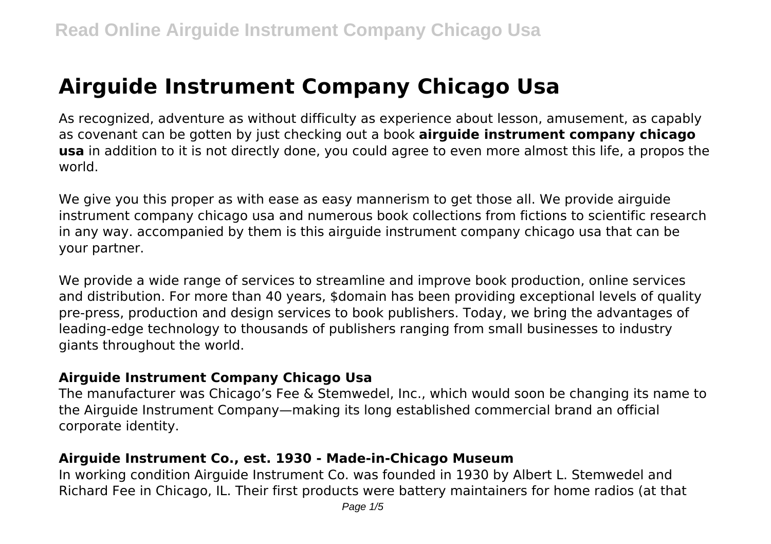# **Airguide Instrument Company Chicago Usa**

As recognized, adventure as without difficulty as experience about lesson, amusement, as capably as covenant can be gotten by just checking out a book **airguide instrument company chicago usa** in addition to it is not directly done, you could agree to even more almost this life, a propos the world.

We give you this proper as with ease as easy mannerism to get those all. We provide airguide instrument company chicago usa and numerous book collections from fictions to scientific research in any way. accompanied by them is this airguide instrument company chicago usa that can be your partner.

We provide a wide range of services to streamline and improve book production, online services and distribution. For more than 40 years, \$domain has been providing exceptional levels of quality pre-press, production and design services to book publishers. Today, we bring the advantages of leading-edge technology to thousands of publishers ranging from small businesses to industry giants throughout the world.

## **Airguide Instrument Company Chicago Usa**

The manufacturer was Chicago's Fee & Stemwedel, Inc., which would soon be changing its name to the Airguide Instrument Company—making its long established commercial brand an official corporate identity.

## **Airguide Instrument Co., est. 1930 - Made-in-Chicago Museum**

In working condition Airguide Instrument Co. was founded in 1930 by Albert L. Stemwedel and Richard Fee in Chicago, IL. Their first products were battery maintainers for home radios (at that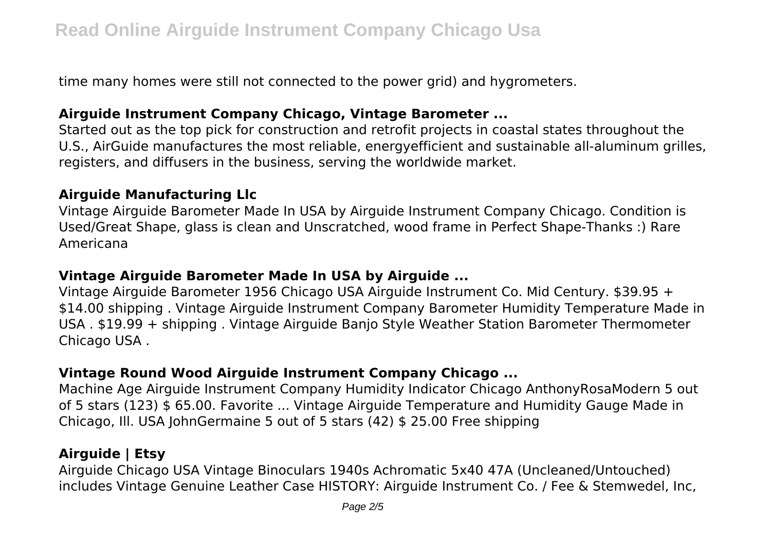time many homes were still not connected to the power grid) and hygrometers.

#### **Airguide Instrument Company Chicago, Vintage Barometer ...**

Started out as the top pick for construction and retrofit projects in coastal states throughout the U.S., AirGuide manufactures the most reliable, energyefficient and sustainable all-aluminum grilles, registers, and diffusers in the business, serving the worldwide market.

## **Airguide Manufacturing Llc**

Vintage Airguide Barometer Made In USA by Airguide Instrument Company Chicago. Condition is Used/Great Shape, glass is clean and Unscratched, wood frame in Perfect Shape-Thanks :) Rare Americana

## **Vintage Airguide Barometer Made In USA by Airguide ...**

Vintage Airguide Barometer 1956 Chicago USA Airguide Instrument Co. Mid Century. \$39.95 + \$14.00 shipping . Vintage Airguide Instrument Company Barometer Humidity Temperature Made in USA . \$19.99 + shipping . Vintage Airguide Banjo Style Weather Station Barometer Thermometer Chicago USA .

# **Vintage Round Wood Airguide Instrument Company Chicago ...**

Machine Age Airguide Instrument Company Humidity Indicator Chicago AnthonyRosaModern 5 out of 5 stars (123) \$ 65.00. Favorite ... Vintage Airguide Temperature and Humidity Gauge Made in Chicago, Ill. USA JohnGermaine 5 out of 5 stars (42) \$ 25.00 Free shipping

## **Airguide | Etsy**

Airguide Chicago USA Vintage Binoculars 1940s Achromatic 5x40 47A (Uncleaned/Untouched) includes Vintage Genuine Leather Case HISTORY: Airguide Instrument Co. / Fee & Stemwedel, Inc,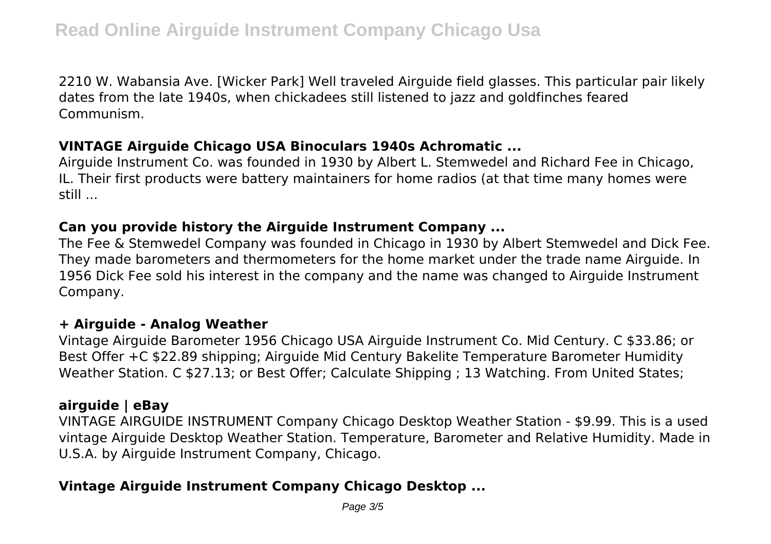2210 W. Wabansia Ave. [Wicker Park] Well traveled Airguide field glasses. This particular pair likely dates from the late 1940s, when chickadees still listened to jazz and goldfinches feared Communism.

#### **VINTAGE Airguide Chicago USA Binoculars 1940s Achromatic ...**

Airguide Instrument Co. was founded in 1930 by Albert L. Stemwedel and Richard Fee in Chicago, IL. Their first products were battery maintainers for home radios (at that time many homes were still ...

## **Can you provide history the Airguide Instrument Company ...**

The Fee & Stemwedel Company was founded in Chicago in 1930 by Albert Stemwedel and Dick Fee. They made barometers and thermometers for the home market under the trade name Airguide. In 1956 Dick Fee sold his interest in the company and the name was changed to Airguide Instrument Company.

## **+ Airguide - Analog Weather**

Vintage Airguide Barometer 1956 Chicago USA Airguide Instrument Co. Mid Century. C \$33.86; or Best Offer +C \$22.89 shipping; Airguide Mid Century Bakelite Temperature Barometer Humidity Weather Station. C \$27.13; or Best Offer; Calculate Shipping ; 13 Watching. From United States;

## **airguide | eBay**

VINTAGE AIRGUIDE INSTRUMENT Company Chicago Desktop Weather Station - \$9.99. This is a used vintage Airguide Desktop Weather Station. Temperature, Barometer and Relative Humidity. Made in U.S.A. by Airguide Instrument Company, Chicago.

# **Vintage Airguide Instrument Company Chicago Desktop ...**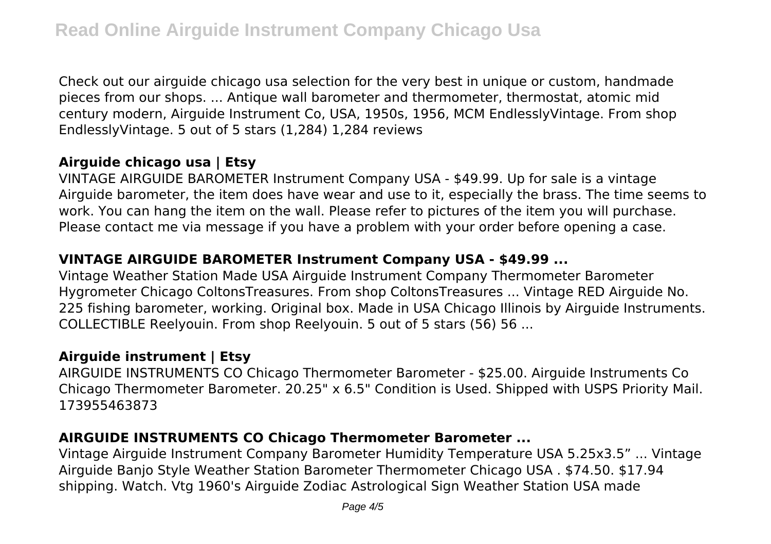Check out our airguide chicago usa selection for the very best in unique or custom, handmade pieces from our shops. ... Antique wall barometer and thermometer, thermostat, atomic mid century modern, Airguide Instrument Co, USA, 1950s, 1956, MCM EndlesslyVintage. From shop EndlesslyVintage. 5 out of 5 stars (1,284) 1,284 reviews

## **Airguide chicago usa | Etsy**

VINTAGE AIRGUIDE BAROMETER Instrument Company USA - \$49.99. Up for sale is a vintage Airguide barometer, the item does have wear and use to it, especially the brass. The time seems to work. You can hang the item on the wall. Please refer to pictures of the item you will purchase. Please contact me via message if you have a problem with your order before opening a case.

## **VINTAGE AIRGUIDE BAROMETER Instrument Company USA - \$49.99 ...**

Vintage Weather Station Made USA Airguide Instrument Company Thermometer Barometer Hygrometer Chicago ColtonsTreasures. From shop ColtonsTreasures ... Vintage RED Airguide No. 225 fishing barometer, working. Original box. Made in USA Chicago Illinois by Airguide Instruments. COLLECTIBLE Reelyouin. From shop Reelyouin. 5 out of 5 stars (56) 56 ...

## **Airguide instrument | Etsy**

AIRGUIDE INSTRUMENTS CO Chicago Thermometer Barometer - \$25.00. Airguide Instruments Co Chicago Thermometer Barometer. 20.25" x 6.5" Condition is Used. Shipped with USPS Priority Mail. 173955463873

## **AIRGUIDE INSTRUMENTS CO Chicago Thermometer Barometer ...**

Vintage Airguide Instrument Company Barometer Humidity Temperature USA 5.25x3.5" ... Vintage Airguide Banjo Style Weather Station Barometer Thermometer Chicago USA . \$74.50. \$17.94 shipping. Watch. Vtg 1960's Airguide Zodiac Astrological Sign Weather Station USA made